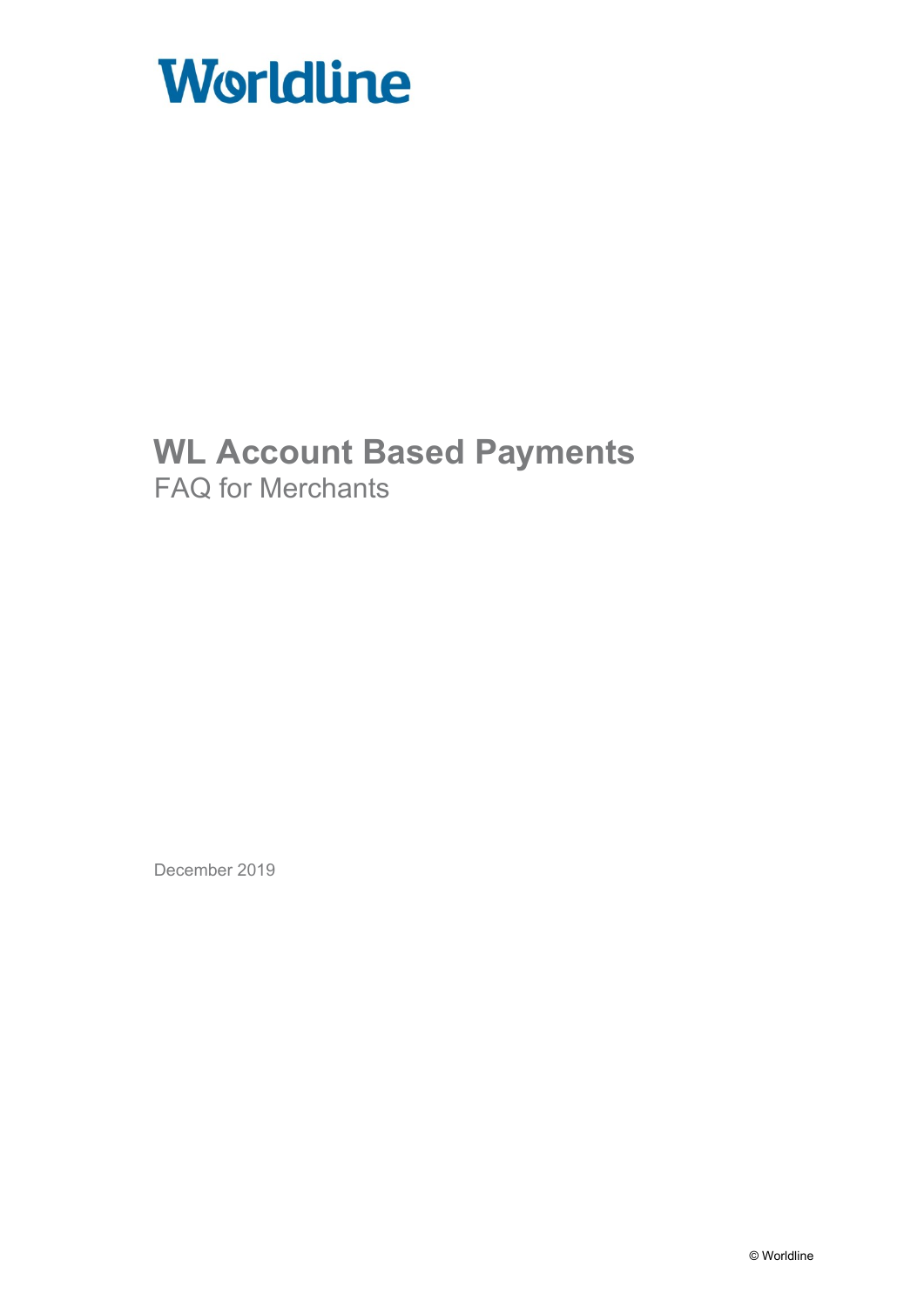

# **WL Account Based Payments** FAQ for Merchants

December 2019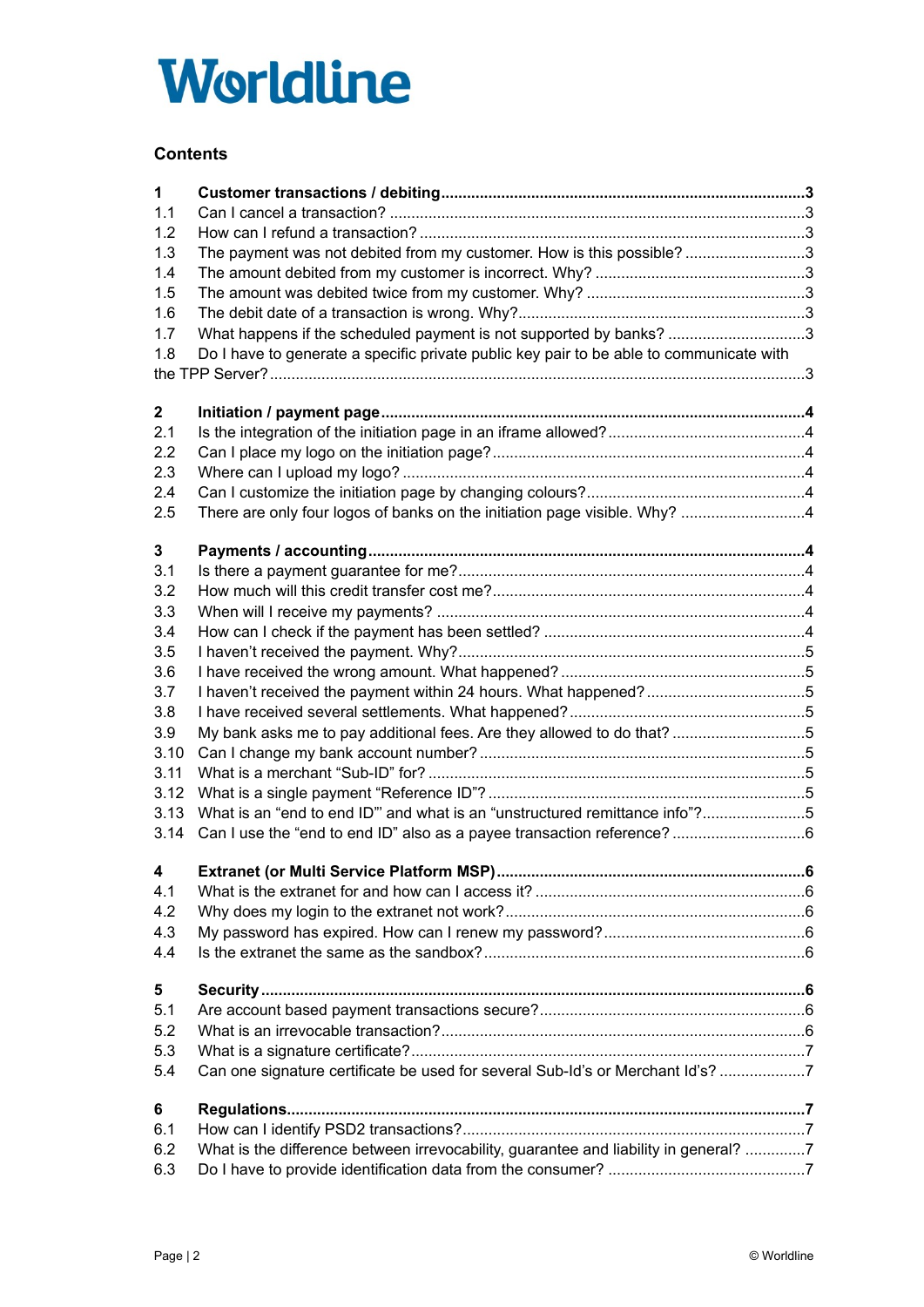# **Worldline**

# **Contents**

| $\mathbf 1$<br>1.1<br>1.2<br>1.3<br>1.4<br>1.5<br>1.6<br>1.7<br>1.8 | The payment was not debited from my customer. How is this possible?3<br>What happens if the scheduled payment is not supported by banks? 3<br>Do I have to generate a specific private public key pair to be able to communicate with |    |
|---------------------------------------------------------------------|---------------------------------------------------------------------------------------------------------------------------------------------------------------------------------------------------------------------------------------|----|
| 2 <sub>2</sub>                                                      |                                                                                                                                                                                                                                       |    |
| 2.1                                                                 |                                                                                                                                                                                                                                       |    |
| 2.2                                                                 |                                                                                                                                                                                                                                       |    |
| 2.3                                                                 |                                                                                                                                                                                                                                       |    |
| 2.4                                                                 |                                                                                                                                                                                                                                       |    |
| 2.5                                                                 | There are only four logos of banks on the initiation page visible. Why? 4                                                                                                                                                             |    |
|                                                                     |                                                                                                                                                                                                                                       |    |
| 3 <sup>1</sup>                                                      |                                                                                                                                                                                                                                       |    |
| 3.1                                                                 |                                                                                                                                                                                                                                       |    |
| 3.2                                                                 |                                                                                                                                                                                                                                       |    |
| 3.3                                                                 |                                                                                                                                                                                                                                       |    |
| 3.4                                                                 |                                                                                                                                                                                                                                       |    |
| 3.5                                                                 |                                                                                                                                                                                                                                       |    |
| 3.6                                                                 |                                                                                                                                                                                                                                       |    |
| 3.7                                                                 |                                                                                                                                                                                                                                       |    |
| 3.8                                                                 |                                                                                                                                                                                                                                       |    |
| 3.9                                                                 | My bank asks me to pay additional fees. Are they allowed to do that? 5                                                                                                                                                                |    |
| 3.10                                                                |                                                                                                                                                                                                                                       |    |
| 3.11                                                                |                                                                                                                                                                                                                                       |    |
| 3.12                                                                |                                                                                                                                                                                                                                       |    |
| 3.13                                                                | What is an "end to end ID" and what is an "unstructured remittance info"?5                                                                                                                                                            |    |
| 3.14                                                                | Can I use the "end to end ID" also as a payee transaction reference?6                                                                                                                                                                 |    |
| 4                                                                   | Extranet (or Multi Service Platform MSP)                                                                                                                                                                                              | 6. |
| 4.1                                                                 |                                                                                                                                                                                                                                       |    |
| 4.2                                                                 |                                                                                                                                                                                                                                       |    |
| 4.3                                                                 |                                                                                                                                                                                                                                       |    |
| 4.4                                                                 |                                                                                                                                                                                                                                       |    |
|                                                                     |                                                                                                                                                                                                                                       |    |
| 5                                                                   |                                                                                                                                                                                                                                       |    |
| 5.1                                                                 |                                                                                                                                                                                                                                       |    |
| 5.2                                                                 |                                                                                                                                                                                                                                       |    |
| 5.3                                                                 |                                                                                                                                                                                                                                       |    |
| 5.4                                                                 | Can one signature certificate be used for several Sub-Id's or Merchant Id's? 7                                                                                                                                                        |    |
|                                                                     |                                                                                                                                                                                                                                       |    |
| 6                                                                   |                                                                                                                                                                                                                                       |    |
| 6.1                                                                 |                                                                                                                                                                                                                                       |    |
| 6.2                                                                 | What is the difference between irrevocability, guarantee and liability in general? 7                                                                                                                                                  |    |
| 6.3                                                                 |                                                                                                                                                                                                                                       |    |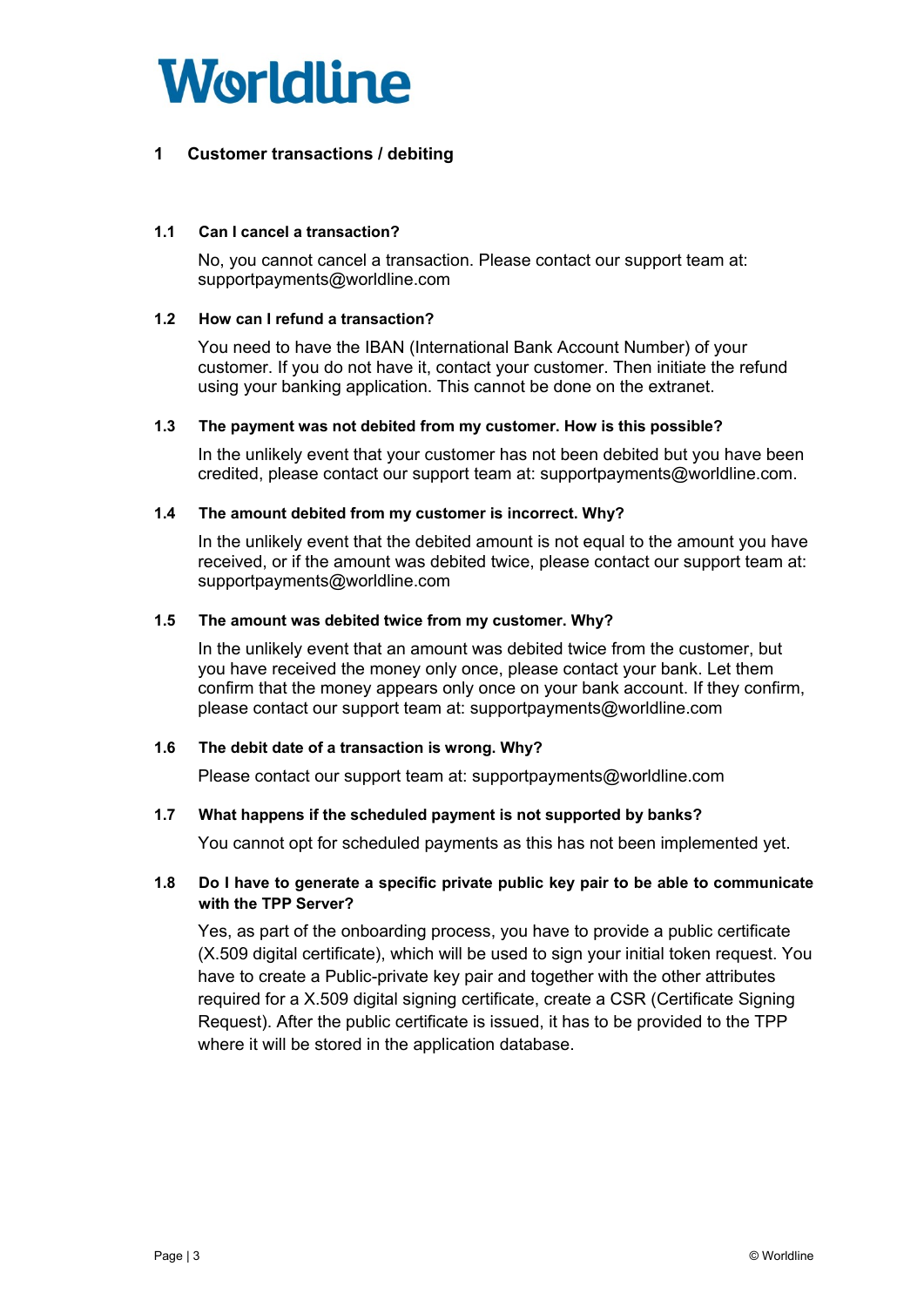

# <span id="page-2-0"></span>**1 Customer transactions / debiting**

#### <span id="page-2-1"></span>**1.1 Can I cancel a transaction?**

No, you cannot cancel a transaction. Please contact our support team at: [supportpayments@worldline.com](mailto:supportpayments@worldline.com)

#### <span id="page-2-2"></span>**1.2 How can I refund a transaction?**

You need to have the IBAN (International Bank Account Number) of your customer. If you do not have it, contact your customer. Then initiate the refund using your banking application. This cannot be done on the extranet.

#### <span id="page-2-3"></span>**1.3 The payment was not debited from my customer. How is this possible?**

In the unlikely event that your customer has not been debited but you have been credited, please contact our support team at: supportpayments@worldline.com.

#### <span id="page-2-4"></span>**1.4 The amount debited from my customer is incorrect. Why?**

In the unlikely event that the debited amount is not equal to the amount you have received, or if the amount was debited twice, please contact our support team at: supportpayments@worldline.com

#### <span id="page-2-5"></span>**1.5 The amount was debited twice from my customer. Why?**

In the unlikely event that an amount was debited twice from the customer, but you have received the money only once, please contact your bank. Let them confirm that the money appears only once on your bank account. If they confirm, please contact our support team at: supportpayments@worldline.com

#### <span id="page-2-6"></span>**1.6 The debit date of a transaction is wrong. Why?**

Please contact our support team at: supportpayments@worldline.com

#### <span id="page-2-7"></span>**1.7 What happens if the scheduled payment is not supported by banks?**

You cannot opt for scheduled payments as this has not been implemented yet.

#### <span id="page-2-8"></span>**1.8 Do I have to generate a specific private public key pair to be able to communicate with the TPP Server?**

<span id="page-2-9"></span>Yes, as part of the onboarding process, you have to provide a public certificate (X.509 digital certificate), which will be used to sign your initial token request. You have to create a Public-private key pair and together with the other attributes required for a X.509 digital signing certificate, create a CSR (Certificate Signing Request). After the public certificate is issued, it has to be provided to the TPP where it will be stored in the application database.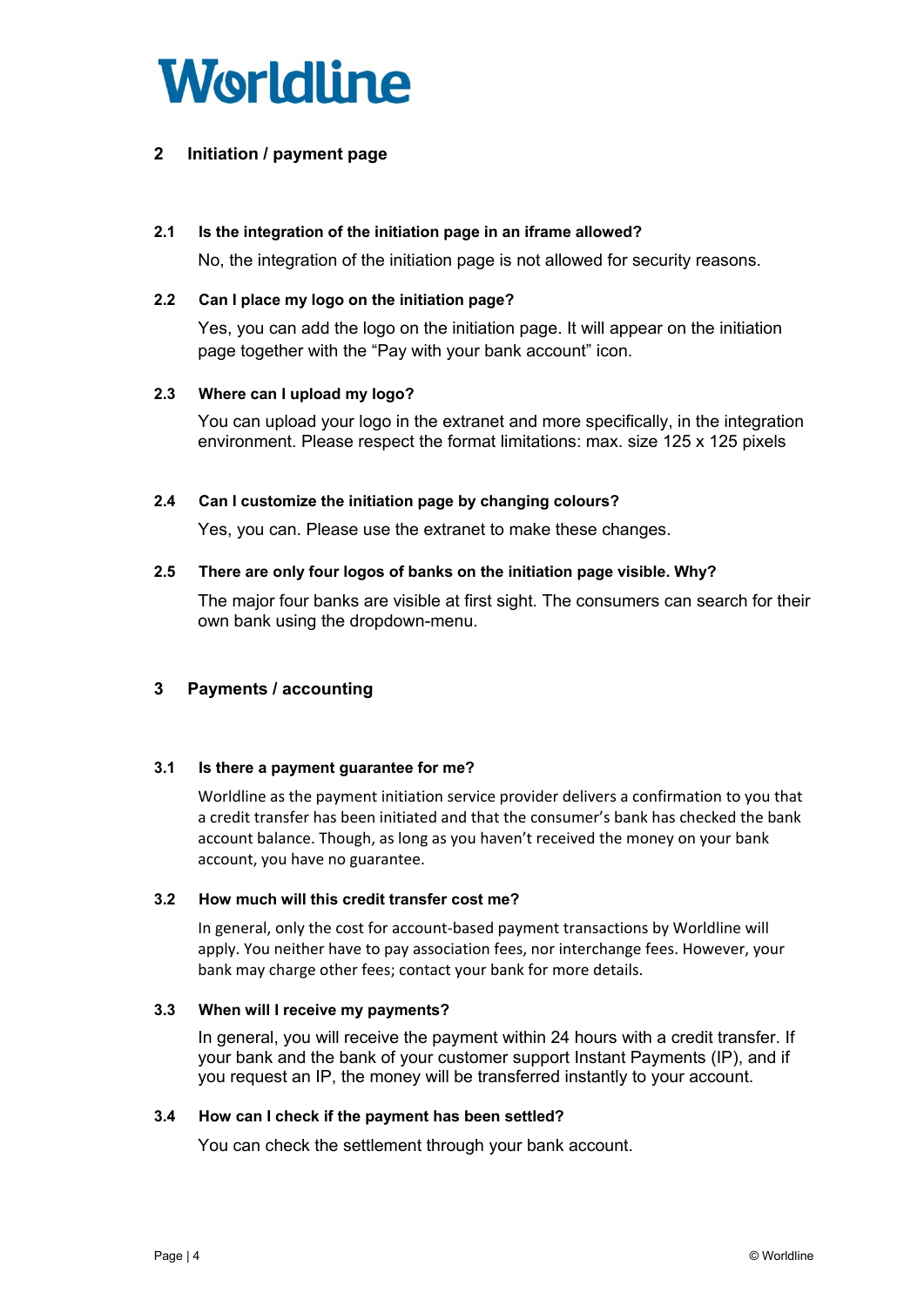

# **2 Initiation / payment page**

#### <span id="page-3-0"></span>**2.1 Is the integration of the initiation page in an iframe allowed?**

No, the integration of the initiation page is not allowed for security reasons.

#### <span id="page-3-1"></span>**2.2 Can I place my logo on the initiation page?**

Yes, you can add the logo on the initiation page. It will appear on the initiation page together with the "Pay with your bank account" icon.

#### <span id="page-3-2"></span>**2.3 Where can I upload my logo?**

You can upload your logo in the extranet and more specifically, in the integration environment. Please respect the format limitations: max. size 125 x 125 pixels

#### <span id="page-3-3"></span>**2.4 Can I customize the initiation page by changing colours?**

Yes, you can. Please use the extranet to make these changes.

#### <span id="page-3-4"></span>**2.5 There are only four logos of banks on the initiation page visible. Why?**

The major four banks are visible at first sight. The consumers can search for their own bank using the dropdown-menu.

## <span id="page-3-5"></span>**3 Payments / accounting**

#### <span id="page-3-6"></span>**3.1 Is there a payment guarantee for me?**

Worldline as the payment initiation service provider delivers a confirmation to you that a credit transfer has been initiated and that the consumer's bank has checked the bank account balance. Though, as long as you haven't received the money on your bank account, you have no guarantee.

#### <span id="page-3-7"></span>**3.2 How much will this credit transfer cost me?**

In general, only the cost for account-based payment transactions by Worldline will apply. You neither have to pay association fees, nor interchange fees. However, your bank may charge other fees; contact your bank for more details.

#### <span id="page-3-8"></span>**3.3 When will I receive my payments?**

In general, you will receive the payment within 24 hours with a credit transfer. If your bank and the bank of your customer support Instant Payments (IP), and if you request an IP, the money will be transferred instantly to your account.

#### <span id="page-3-9"></span>**3.4 How can I check if the payment has been settled?**

You can check the settlement through your bank account.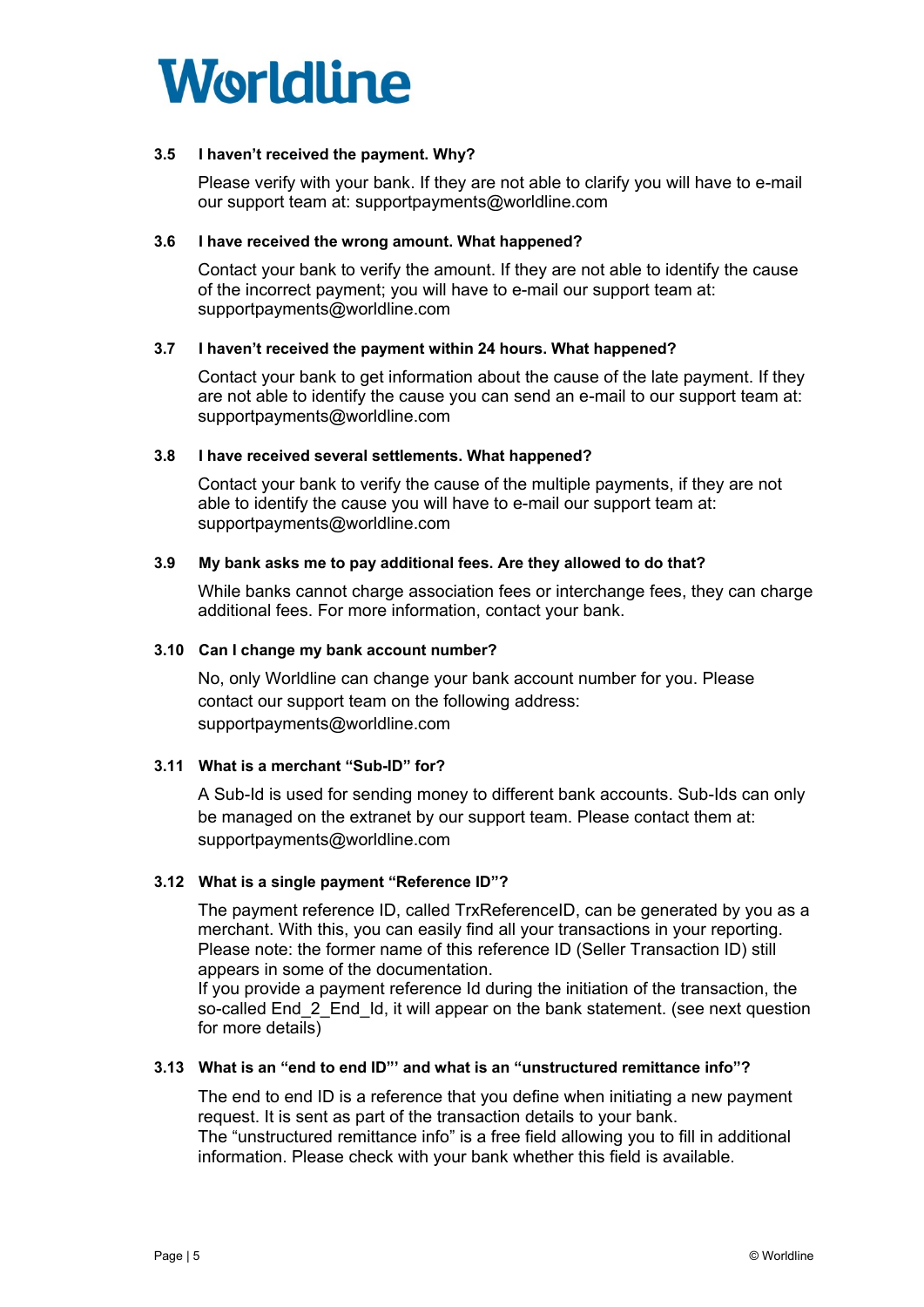

#### <span id="page-4-0"></span>**3.5 I haven't received the payment. Why?**

Please verify with your bank. If they are not able to clarify you will have to e-mail our support team at: supportpayments@worldline.com

#### <span id="page-4-1"></span>**3.6 I have received the wrong amount. What happened?**

Contact your bank to verify the amount. If they are not able to identify the cause of the incorrect payment; you will have to e-mail our support team at: supportpayments@worldline.com

#### <span id="page-4-2"></span>**3.7 I haven't received the payment within 24 hours. What happened?**

Contact your bank to get information about the cause of the late payment. If they are not able to identify the cause you can send an e-mail to our support team at: supportpayments@worldline.com

#### <span id="page-4-3"></span>**3.8 I have received several settlements. What happened?**

Contact your bank to verify the cause of the multiple payments, if they are not able to identify the cause you will have to e-mail our support team at: supportpayments@worldline.com

#### <span id="page-4-4"></span>**3.9 My bank asks me to pay additional fees. Are they allowed to do that?**

While banks cannot charge association fees or interchange fees, they can charge additional fees. For more information, contact your bank.

#### <span id="page-4-5"></span>**3.10 Can I change my bank account number?**

No, only Worldline can change your bank account number for you. Please contact our support team on the following address: supportpayments@worldline.com

#### <span id="page-4-6"></span>**3.11 What is a merchant "Sub-ID" for?**

A Sub-Id is used for sending money to different bank accounts. Sub-Ids can only be managed on the extranet by our support team. Please contact them at: supportpayments@worldline.com

#### <span id="page-4-7"></span>**3.12 What is a single payment "Reference ID"?**

The payment reference ID, called TrxReferenceID, can be generated by you as a merchant. With this, you can easily find all your transactions in your reporting. Please note: the former name of this reference ID (Seller Transaction ID) still appears in some of the documentation.

If you provide a payment reference Id during the initiation of the transaction, the so-called End\_2\_End\_Id, it will appear on the bank statement. (see next question for more details)

#### <span id="page-4-8"></span>**3.13 What is an "end to end ID"' and what is an "unstructured remittance info"?**

The end to end ID is a reference that you define when initiating a new payment request. It is sent as part of the transaction details to your bank.

The "unstructured remittance info" is a free field allowing you to fill in additional information. Please check with your bank whether this field is available.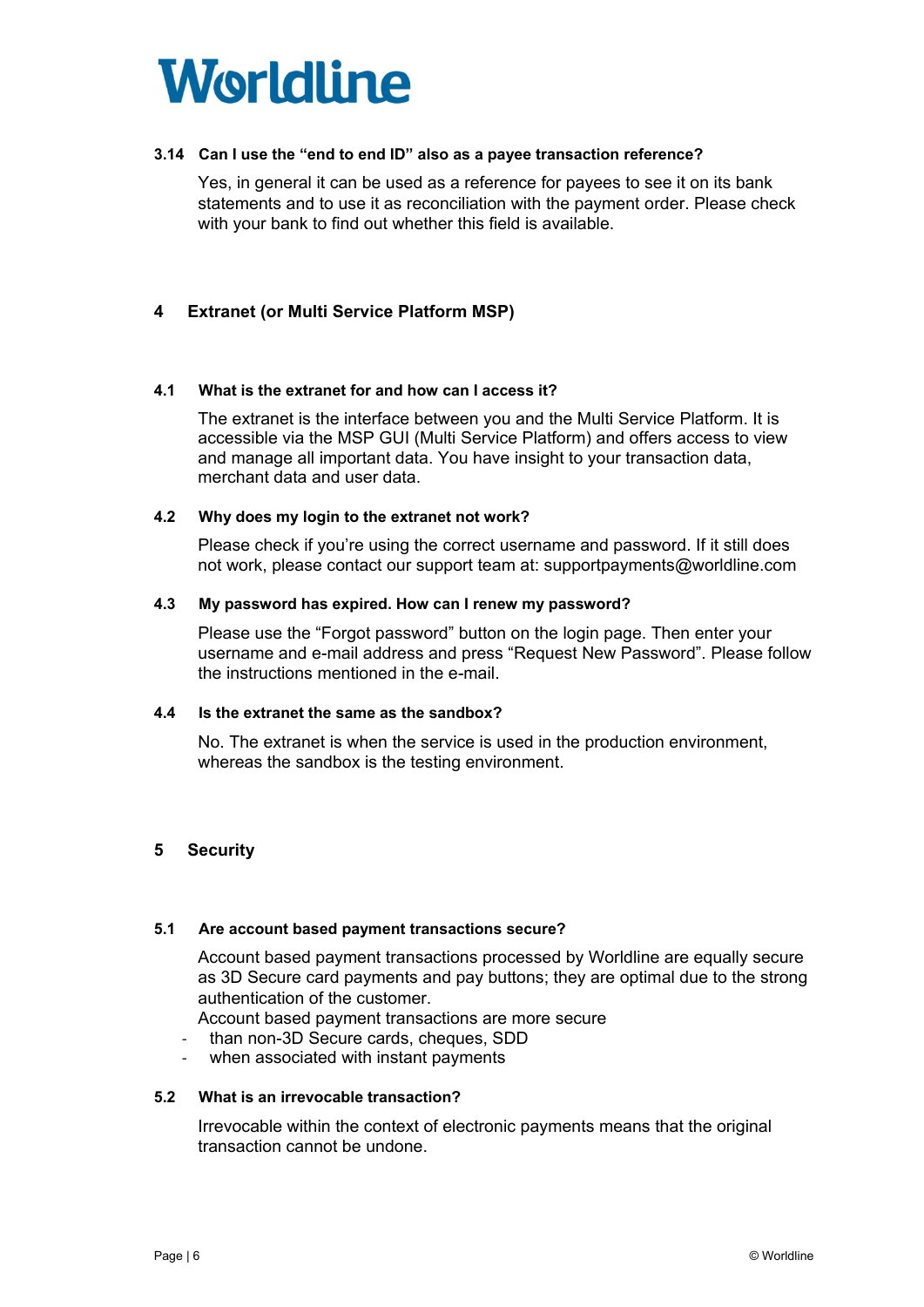

#### <span id="page-5-0"></span>**3.14 Can I use the "end to end ID" also as a payee transaction reference?**

Yes, in general it can be used as a reference for payees to see it on its bank statements and to use it as reconciliation with the payment order. Please check with your bank to find out whether this field is available.

# <span id="page-5-1"></span>**4 Extranet (or Multi Service Platform MSP)**

#### <span id="page-5-2"></span>**4.1 What is the extranet for and how can I access it?**

The extranet is the interface between you and the Multi Service Platform. It is accessible via the MSP GUI (Multi Service Platform) and offers access to view and manage all important data. You have insight to your transaction data, merchant data and user data.

#### <span id="page-5-3"></span>**4.2 Why does my login to the extranet not work?**

Please check if you're using the correct username and password. If it still does not work, please contact our support team at: supportpayments@worldline.com

#### <span id="page-5-4"></span>**4.3 My password has expired. How can I renew my password?**

Please use the "Forgot password" button on the login page. Then enter your username and e-mail address and press "Request New Password". Please follow the instructions mentioned in the e-mail.

#### <span id="page-5-5"></span>**4.4 Is the extranet the same as the sandbox?**

No. The extranet is when the service is used in the production environment, whereas the sandbox is the testing environment.

#### <span id="page-5-6"></span>**5 Security**

#### <span id="page-5-7"></span>**5.1 Are account based payment transactions secure?**

Account based payment transactions processed by Worldline are equally secure as 3D Secure card payments and pay buttons; they are optimal due to the strong authentication of the customer.

Account based payment transactions are more secure

- than non-3D Secure cards, cheques, SDD
- when associated with instant payments

#### <span id="page-5-8"></span>**5.2 What is an irrevocable transaction?**

Irrevocable within the context of electronic payments means that the original transaction cannot be undone.